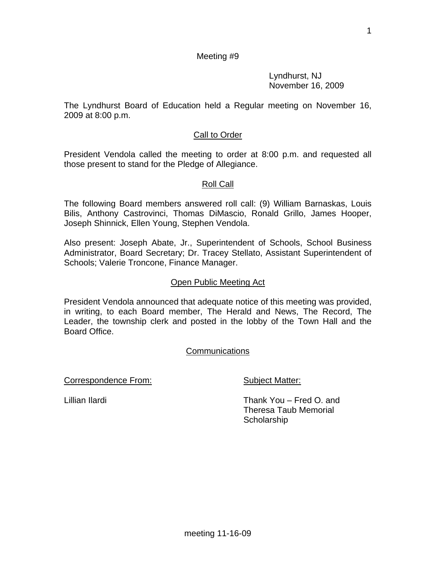Lyndhurst, NJ November 16, 2009

The Lyndhurst Board of Education held a Regular meeting on November 16, 2009 at 8:00 p.m.

# **Call to Order**

President Vendola called the meeting to order at 8:00 p.m. and requested all those present to stand for the Pledge of Allegiance.

### Roll Call

The following Board members answered roll call: (9) William Barnaskas, Louis Bilis, Anthony Castrovinci, Thomas DiMascio, Ronald Grillo, James Hooper, Joseph Shinnick, Ellen Young, Stephen Vendola.

Also present: Joseph Abate, Jr., Superintendent of Schools, School Business Administrator, Board Secretary; Dr. Tracey Stellato, Assistant Superintendent of Schools; Valerie Troncone, Finance Manager.

### Open Public Meeting Act

President Vendola announced that adequate notice of this meeting was provided, in writing, to each Board member, The Herald and News, The Record, The Leader, the township clerk and posted in the lobby of the Town Hall and the Board Office.

## Communications

Correspondence From: Subject Matter:

Lillian Ilardi Thank You – Fred O. and Theresa Taub Memorial **Scholarship**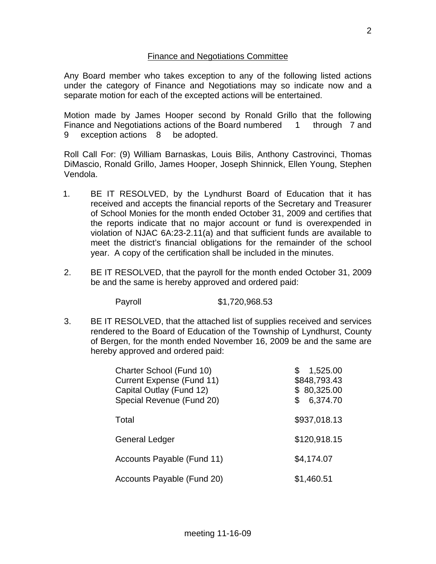## Finance and Negotiations Committee

Any Board member who takes exception to any of the following listed actions under the category of Finance and Negotiations may so indicate now and a separate motion for each of the excepted actions will be entertained.

Motion made by James Hooper second by Ronald Grillo that the following Finance and Negotiations actions of the Board numbered 1 through 7 and 9 exception actions 8 be adopted.

Roll Call For: (9) William Barnaskas, Louis Bilis, Anthony Castrovinci, Thomas DiMascio, Ronald Grillo, James Hooper, Joseph Shinnick, Ellen Young, Stephen Vendola.

- 1. BE IT RESOLVED, by the Lyndhurst Board of Education that it has received and accepts the financial reports of the Secretary and Treasurer of School Monies for the month ended October 31, 2009 and certifies that the reports indicate that no major account or fund is overexpended in violation of NJAC 6A:23-2.11(a) and that sufficient funds are available to meet the district's financial obligations for the remainder of the school year. A copy of the certification shall be included in the minutes.
- 2. BE IT RESOLVED, that the payroll for the month ended October 31, 2009 be and the same is hereby approved and ordered paid:

Payroll \$1,720,968.53

3. BE IT RESOLVED, that the attached list of supplies received and services rendered to the Board of Education of the Township of Lyndhurst, County of Bergen, for the month ended November 16, 2009 be and the same are hereby approved and ordered paid:

| Charter School (Fund 10)<br><b>Current Expense (Fund 11)</b><br>Capital Outlay (Fund 12)<br>Special Revenue (Fund 20) | 1,525.00<br>\$848,793.43<br>\$80,325.00<br>6,374.70<br>\$ |
|-----------------------------------------------------------------------------------------------------------------------|-----------------------------------------------------------|
| Total                                                                                                                 | \$937,018.13                                              |
| <b>General Ledger</b>                                                                                                 | \$120,918.15                                              |
| Accounts Payable (Fund 11)                                                                                            | \$4,174.07                                                |
| Accounts Payable (Fund 20)                                                                                            | \$1,460.51                                                |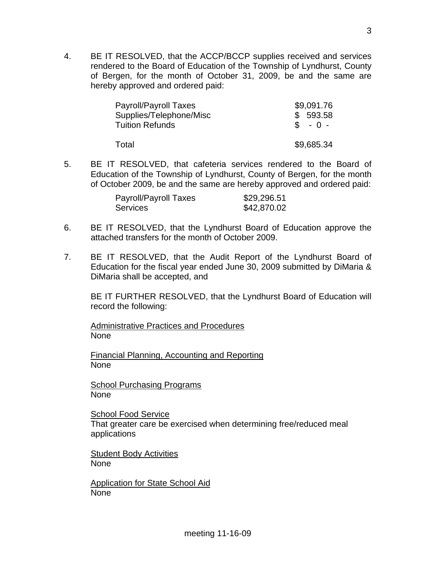4. BE IT RESOLVED, that the ACCP/BCCP supplies received and services rendered to the Board of Education of the Township of Lyndhurst, County of Bergen, for the month of October 31, 2009, be and the same are hereby approved and ordered paid:

| \$9,091.76 |
|------------|
| \$593.58   |
| $S - 0 -$  |
| \$9,685.34 |
|            |

5. BE IT RESOLVED, that cafeteria services rendered to the Board of Education of the Township of Lyndhurst, County of Bergen, for the month of October 2009, be and the same are hereby approved and ordered paid:

| Payroll/Payroll Taxes | \$29,296.51 |
|-----------------------|-------------|
| <b>Services</b>       | \$42,870.02 |

- 6. BE IT RESOLVED, that the Lyndhurst Board of Education approve the attached transfers for the month of October 2009.
- 7. BE IT RESOLVED, that the Audit Report of the Lyndhurst Board of Education for the fiscal year ended June 30, 2009 submitted by DiMaria & DiMaria shall be accepted, and

 BE IT FURTHER RESOLVED, that the Lyndhurst Board of Education will record the following:

Administrative Practices and Procedures None

Financial Planning, Accounting and Reporting None

School Purchasing Programs None

School Food Service That greater care be exercised when determining free/reduced meal applications

Student Body Activities None

Application for State School Aid None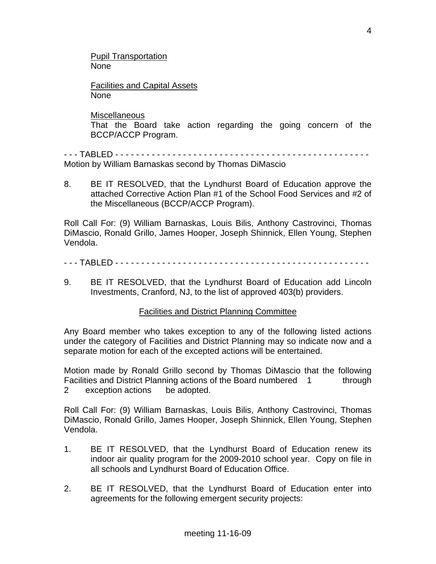Pupil Transportation None

Facilities and Capital Assets None

**Miscellaneous** 

 That the Board take action regarding the going concern of the BCCP/ACCP Program.

- - - TABLED - - - - - - - - - - - - - - - - - - - - - - - - - - - - - - - - - - - - - - - - - - - - - - - - - Motion by William Barnaskas second by Thomas DiMascio

8. BE IT RESOLVED, that the Lyndhurst Board of Education approve the attached Corrective Action Plan #1 of the School Food Services and #2 of the Miscellaneous (BCCP/ACCP Program).

Roll Call For: (9) William Barnaskas, Louis Bilis, Anthony Castrovinci, Thomas DiMascio, Ronald Grillo, James Hooper, Joseph Shinnick, Ellen Young, Stephen Vendola.

## - - - TABLED - - - - - - - - - - - - - - - - - - - - - - - - - - - - - - - - - - - - - - - - - - - - - - - - -

9. BE IT RESOLVED, that the Lyndhurst Board of Education add Lincoln Investments, Cranford, NJ, to the list of approved 403(b) providers.

## Facilities and District Planning Committee

Any Board member who takes exception to any of the following listed actions under the category of Facilities and District Planning may so indicate now and a separate motion for each of the excepted actions will be entertained.

Motion made by Ronald Grillo second by Thomas DiMascio that the following Facilities and District Planning actions of the Board numbered 1 through 2 exception actions be adopted.

Roll Call For: (9) William Barnaskas, Louis Bilis, Anthony Castrovinci, Thomas DiMascio, Ronald Grillo, James Hooper, Joseph Shinnick, Ellen Young, Stephen Vendola.

- 1. BE IT RESOLVED, that the Lyndhurst Board of Education renew its indoor air quality program for the 2009-2010 school year. Copy on file in all schools and Lyndhurst Board of Education Office.
- 2. BE IT RESOLVED, that the Lyndhurst Board of Education enter into agreements for the following emergent security projects: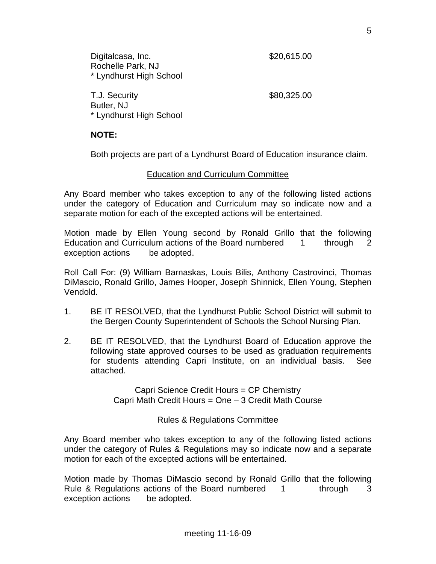T.J. Security 680,325.00 Butler, NJ \* Lyndhurst High School

# **NOTE:**

Both projects are part of a Lyndhurst Board of Education insurance claim.

## Education and Curriculum Committee

Any Board member who takes exception to any of the following listed actions under the category of Education and Curriculum may so indicate now and a separate motion for each of the excepted actions will be entertained.

Motion made by Ellen Young second by Ronald Grillo that the following Education and Curriculum actions of the Board numbered 1 through 2 exception actions be adopted.

Roll Call For: (9) William Barnaskas, Louis Bilis, Anthony Castrovinci, Thomas DiMascio, Ronald Grillo, James Hooper, Joseph Shinnick, Ellen Young, Stephen Vendold.

- 1. BE IT RESOLVED, that the Lyndhurst Public School District will submit to the Bergen County Superintendent of Schools the School Nursing Plan.
- 2. BE IT RESOLVED, that the Lyndhurst Board of Education approve the following state approved courses to be used as graduation requirements for students attending Capri Institute, on an individual basis. See attached.

Capri Science Credit Hours = CP Chemistry Capri Math Credit Hours = One – 3 Credit Math Course

# Rules & Regulations Committee

Any Board member who takes exception to any of the following listed actions under the category of Rules & Regulations may so indicate now and a separate motion for each of the excepted actions will be entertained.

Motion made by Thomas DiMascio second by Ronald Grillo that the following Rule & Regulations actions of the Board numbered 1 through 3 exception actions be adopted.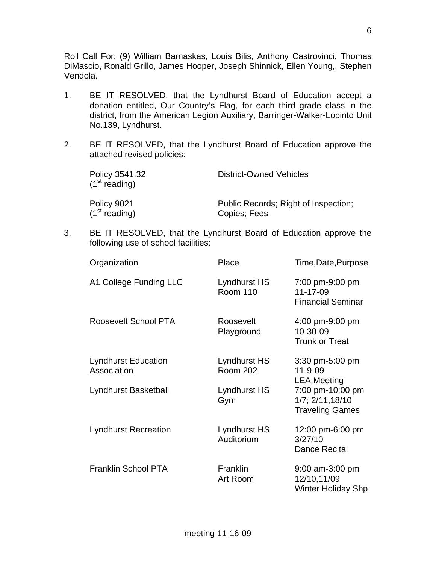Roll Call For: (9) William Barnaskas, Louis Bilis, Anthony Castrovinci, Thomas DiMascio, Ronald Grillo, James Hooper, Joseph Shinnick, Ellen Young,, Stephen Vendola.

- 1. BE IT RESOLVED, that the Lyndhurst Board of Education accept a donation entitled, Our Country's Flag, for each third grade class in the district, from the American Legion Auxiliary, Barringer-Walker-Lopinto Unit No.139, Lyndhurst.
- 2. BE IT RESOLVED, that the Lyndhurst Board of Education approve the attached revised policies:

| Policy 3541.32<br>$(1st$ reading) | <b>District-Owned Vehicles</b>       |
|-----------------------------------|--------------------------------------|
| Policy 9021                       | Public Records; Right of Inspection; |
| (1 <sup>st</sup> reading)         | Copies; Fees                         |

3. BE IT RESOLVED, that the Lyndhurst Board of Education approve the following use of school facilities:

| <b>Organization</b>                       | <b>Place</b>                    | Time, Date, Purpose                                                |
|-------------------------------------------|---------------------------------|--------------------------------------------------------------------|
| A1 College Funding LLC                    | Lyndhurst HS<br><b>Room 110</b> | 7:00 pm-9:00 pm<br>11-17-09<br><b>Financial Seminar</b>            |
| Roosevelt School PTA                      | Roosevelt<br>Playground         | 4:00 pm-9:00 pm<br>10-30-09<br><b>Trunk or Treat</b>               |
| <b>Lyndhurst Education</b><br>Association | Lyndhurst HS<br><b>Room 202</b> | 3:30 pm-5:00 pm<br>$11 - 9 - 09$<br><b>LEA Meeting</b>             |
| Lyndhurst Basketball                      | Lyndhurst HS<br>Gym             | 7:00 pm-10:00 pm<br>$1/7$ ; $2/11,18/10$<br><b>Traveling Games</b> |
| <b>Lyndhurst Recreation</b>               | Lyndhurst HS<br>Auditorium      | 12:00 pm-6:00 pm<br>3/27/10<br>Dance Recital                       |
| <b>Franklin School PTA</b>                | <b>Franklin</b><br>Art Room     | 9:00 am-3:00 pm<br>12/10,11/09<br><b>Winter Holiday Shp</b>        |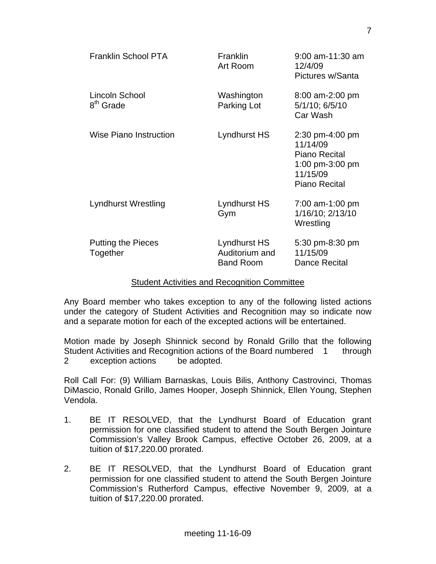| <b>Franklin School PTA</b>              | <b>Franklin</b><br>Art Room                        | $9:00$ am-11:30 am<br>12/4/09<br>Pictures w/Santa                                                   |
|-----------------------------------------|----------------------------------------------------|-----------------------------------------------------------------------------------------------------|
| Lincoln School<br>8 <sup>th</sup> Grade | Washington<br>Parking Lot                          | 8:00 am-2:00 pm<br>5/1/10; 6/5/10<br>Car Wash                                                       |
| <b>Wise Piano Instruction</b>           | Lyndhurst HS                                       | 2:30 pm-4:00 pm<br>11/14/09<br>Piano Recital<br>1:00 pm-3:00 pm<br>11/15/09<br><b>Piano Recital</b> |
| Lyndhurst Wrestling                     | Lyndhurst HS<br>Gym                                | 7:00 am-1:00 pm<br>1/16/10; 2/13/10<br>Wrestling                                                    |
| <b>Putting the Pieces</b><br>Together   | Lyndhurst HS<br>Auditorium and<br><b>Band Room</b> | 5:30 pm-8:30 pm<br>11/15/09<br>Dance Recital                                                        |

### Student Activities and Recognition Committee

Any Board member who takes exception to any of the following listed actions under the category of Student Activities and Recognition may so indicate now and a separate motion for each of the excepted actions will be entertained.

Motion made by Joseph Shinnick second by Ronald Grillo that the following Student Activities and Recognition actions of the Board numbered 1 through 2 exception actions be adopted.

Roll Call For: (9) William Barnaskas, Louis Bilis, Anthony Castrovinci, Thomas DiMascio, Ronald Grillo, James Hooper, Joseph Shinnick, Ellen Young, Stephen Vendola.

- 1. BE IT RESOLVED, that the Lyndhurst Board of Education grant permission for one classified student to attend the South Bergen Jointure Commission's Valley Brook Campus, effective October 26, 2009, at a tuition of \$17,220.00 prorated.
- 2. BE IT RESOLVED, that the Lyndhurst Board of Education grant permission for one classified student to attend the South Bergen Jointure Commission's Rutherford Campus, effective November 9, 2009, at a tuition of \$17,220.00 prorated.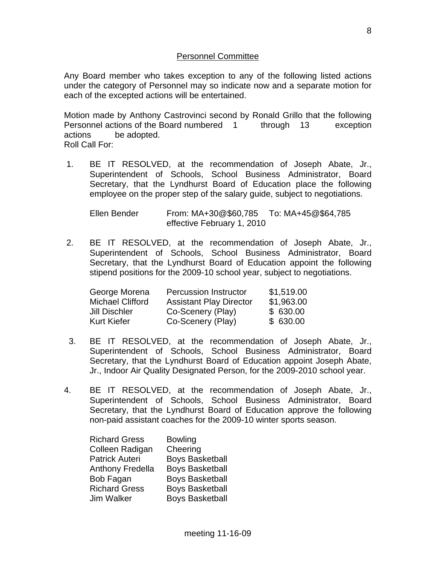## Personnel Committee

Any Board member who takes exception to any of the following listed actions under the category of Personnel may so indicate now and a separate motion for each of the excepted actions will be entertained.

Motion made by Anthony Castrovinci second by Ronald Grillo that the following Personnel actions of the Board numbered 1 through 13 exception actions be adopted.

Roll Call For:

 1. BE IT RESOLVED, at the recommendation of Joseph Abate, Jr., Superintendent of Schools, School Business Administrator, Board Secretary, that the Lyndhurst Board of Education place the following employee on the proper step of the salary guide, subject to negotiations.

 Ellen Bender From: MA+30@\$60,785 To: MA+45@\$64,785 effective February 1, 2010

 2. BE IT RESOLVED, at the recommendation of Joseph Abate, Jr., Superintendent of Schools, School Business Administrator, Board Secretary, that the Lyndhurst Board of Education appoint the following stipend positions for the 2009-10 school year, subject to negotiations.

| George Morena           | <b>Percussion Instructor</b>   | \$1,519.00 |
|-------------------------|--------------------------------|------------|
| <b>Michael Clifford</b> | <b>Assistant Play Director</b> | \$1,963.00 |
| Jill Dischler           | Co-Scenery (Play)              | \$630.00   |
| <b>Kurt Kiefer</b>      | Co-Scenery (Play)              | \$630.00   |

- 3. BE IT RESOLVED, at the recommendation of Joseph Abate, Jr., Superintendent of Schools, School Business Administrator, Board Secretary, that the Lyndhurst Board of Education appoint Joseph Abate, Jr., Indoor Air Quality Designated Person, for the 2009-2010 school year.
- 4. BE IT RESOLVED, at the recommendation of Joseph Abate, Jr., Superintendent of Schools, School Business Administrator, Board Secretary, that the Lyndhurst Board of Education approve the following non-paid assistant coaches for the 2009-10 winter sports season.

| <b>Richard Gress</b>    | <b>Bowling</b>         |
|-------------------------|------------------------|
| Colleen Radigan         | Cheering               |
| <b>Patrick Auteri</b>   | <b>Boys Basketball</b> |
| <b>Anthony Fredella</b> | <b>Boys Basketball</b> |
| Bob Fagan               | <b>Boys Basketball</b> |
| <b>Richard Gress</b>    | <b>Boys Basketball</b> |
| Jim Walker              | <b>Boys Basketball</b> |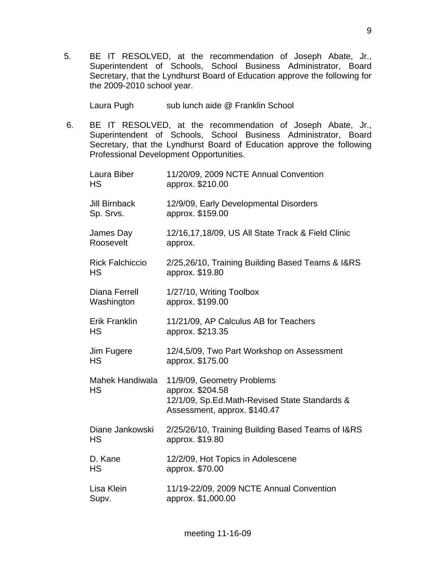5. BE IT RESOLVED, at the recommendation of Joseph Abate, Jr., Superintendent of Schools, School Business Administrator, Board Secretary, that the Lyndhurst Board of Education approve the following for the 2009-2010 school year.

Laura Pugh sub lunch aide @ Franklin School

 6. BE IT RESOLVED, at the recommendation of Joseph Abate, Jr., Superintendent of Schools, School Business Administrator, Board Secretary, that the Lyndhurst Board of Education approve the following Professional Development Opportunities.

| Laura Biber<br><b>HS</b>            | 11/20/09, 2009 NCTE Annual Convention<br>approx. \$210.00                                                                       |
|-------------------------------------|---------------------------------------------------------------------------------------------------------------------------------|
| <b>Jill Birnback</b><br>Sp. Srvs.   | 12/9/09, Early Developmental Disorders<br>approx. \$159.00                                                                      |
| James Day<br>Roosevelt              | 12/16,17,18/09, US All State Track & Field Clinic<br>approx.                                                                    |
| <b>Rick Falchiccio</b><br><b>HS</b> | 2/25,26/10, Training Building Based Teams & I&RS<br>approx. \$19.80                                                             |
| Diana Ferrell<br>Washington         | 1/27/10, Writing Toolbox<br>approx. \$199.00                                                                                    |
| <b>Erik Franklin</b><br>HS          | 11/21/09, AP Calculus AB for Teachers<br>approx. \$213.35                                                                       |
| Jim Fugere<br><b>HS</b>             | 12/4,5/09, Two Part Workshop on Assessment<br>approx. \$175.00                                                                  |
| Mahek Handiwala<br><b>HS</b>        | 11/9/09, Geometry Problems<br>approx. \$204.58<br>12/1/09, Sp.Ed.Math-Revised State Standards &<br>Assessment, approx. \$140.47 |
| Diane Jankowski<br><b>HS</b>        | 2/25/26/10, Training Building Based Teams of I&RS<br>approx. \$19.80                                                            |
| D. Kane<br><b>HS</b>                | 12/2/09, Hot Topics in Adolescene<br>approx. \$70.00                                                                            |
| Lisa Klein<br>Supv.                 | 11/19-22/09, 2009 NCTE Annual Convention<br>approx. \$1,000.00                                                                  |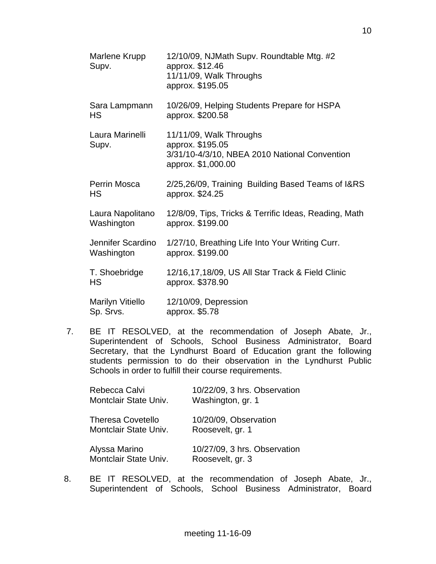| Marlene Krupp<br>Supv.               | 12/10/09, NJMath Supv. Roundtable Mtg. #2<br>approx. \$12.46<br>11/11/09, Walk Throughs<br>approx. \$195.05        |
|--------------------------------------|--------------------------------------------------------------------------------------------------------------------|
| Sara Lampmann<br>HS                  | 10/26/09, Helping Students Prepare for HSPA<br>approx. \$200.58                                                    |
| Laura Marinelli<br>Supv.             | 11/11/09, Walk Throughs<br>approx. \$195.05<br>3/31/10-4/3/10, NBEA 2010 National Convention<br>approx. \$1,000.00 |
| Perrin Mosca<br><b>HS</b>            | 2/25,26/09, Training Building Based Teams of I&RS<br>approx. \$24.25                                               |
| Laura Napolitano<br>Washington       | 12/8/09, Tips, Tricks & Terrific Ideas, Reading, Math<br>approx. \$199.00                                          |
| Jennifer Scardino<br>Washington      | 1/27/10, Breathing Life Into Your Writing Curr.<br>approx. \$199.00                                                |
| T. Shoebridge<br><b>HS</b>           | 12/16,17,18/09, US All Star Track & Field Clinic<br>approx. \$378.90                                               |
| <b>Marilyn Vitiello</b><br>Sp. Srvs. | 12/10/09, Depression<br>approx. \$5.78                                                                             |

 7. BE IT RESOLVED, at the recommendation of Joseph Abate, Jr., Superintendent of Schools, School Business Administrator, Board Secretary, that the Lyndhurst Board of Education grant the following students permission to do their observation in the Lyndhurst Public Schools in order to fulfill their course requirements.

| Rebecca Calvi            | 10/22/09, 3 hrs. Observation |
|--------------------------|------------------------------|
| Montclair State Univ.    | Washington, gr. 1            |
| <b>Theresa Covetello</b> | 10/20/09, Observation        |
| Montclair State Univ.    | Roosevelt, gr. 1             |
| Alyssa Marino            | 10/27/09, 3 hrs. Observation |
| Montclair State Univ.    | Roosevelt, gr. 3             |

8. BE IT RESOLVED, at the recommendation of Joseph Abate, Jr., Superintendent of Schools, School Business Administrator, Board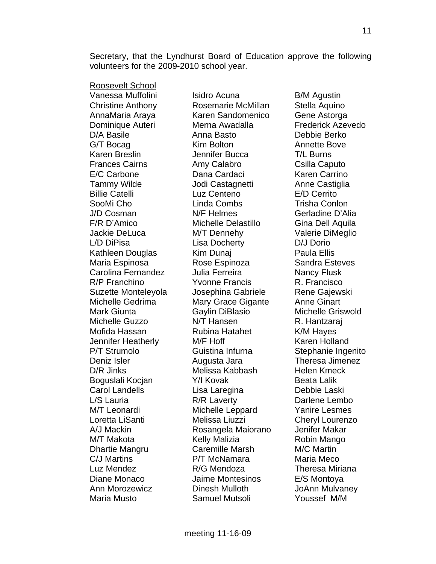Secretary, that the Lyndhurst Board of Education approve the following volunteers for the 2009-2010 school year.

Roosevelt School

Vanessa Muffolini lisidro Acuna **Isidro Acuna karatana karata B/M** Agustin Christine Anthony Rosemarie McMillan Stella Aquino AnnaMaria Araya Karen Sandomenico Gene Astorga Dominique Auteri **Merna Awadalla** Frederick Azevedo D/A Basile **Anna Basto** Debbie Berko G/T Bocag **Kim Bolton** Annette Bove Karen Breslin Jennifer Bucca T/L Burns Frances Cairns **Amy Calabro** Csilla Caputo E/C Carbone Dana Cardaci Karen Carrino Tammy Wilde **Jodi Castagnetti** Anne Castiglia Billie Catelli Luz Centeno E/D Cerrito SooMi Cho **Linda Combs** Combon Crisha Conlon J/D Cosman N/F Helmes Gerladine D'Alia F/R D'Amico Michelle Delastillo Gina Dell Aquila Jackie DeLuca M/T Dennehy Valerie DiMeglio L/D DiPisa Lisa Docherty D/J Dorio Kathleen Douglas Kim Dunaj Paula Ellis Maria Espinosa **Rose Espinoza** Sandra Esteves Carolina Fernandez Julia Ferreira **Nancy Flusk** R/P Franchino The Yvonne Francis The R. Francisco Suzette Monteleyola Josephina Gabriele Rene Gajewski Michelle Gedrima Mary Grace Gigante Anne Ginart Mark Giunta Gaylin DiBlasio Michelle Griswold Michelle Guzzo N/T Hansen R. Hantzaraj Mofida Hassan **Rubina Hatahet** K/M Hayes Jennifer Heatherly M/F Hoff Karen Holland P/T Strumolo **Guistina Infurna** Stephanie Ingenito Deniz Isler Augusta Jara Theresa Jimenez D/R Jinks **Melissa Kabbash** Helen Kmeck Boguslali Kocjan Y/I Kovak Beata Lalik Carol Landells Lisa Laregina Debbie Laski L/S Lauria **R/R Laverty** Darlene Lembo M/T Leonardi Michelle Leppard Yanire Lesmes Loretta LiSanti Melissa Liuzzi Cheryl Lourenzo A/J Mackin Rosangela Maiorano Jenifer Makar M/T Makota Kelly Malizia Robin Mango Dhartie Mangru Caremille Marsh M/C Martin C/J Martins **Net All Accord P/T McNamara** Maria Meco Luz Mendez R/G Mendoza Theresa Miriana Diane Monaco Jaime Montesinos E/S Montoya Ann Morozewicz Dinesh Mulloth JoAnn Mulvaney Maria Musto Samuel Mutsoli Youssef M/M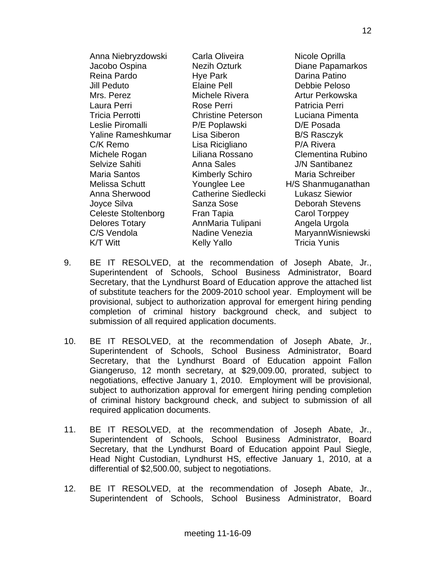| Anna Niebryzdowski         | Carla Oliveira             | Nicole Oprilla          |
|----------------------------|----------------------------|-------------------------|
| Jacobo Ospina              | <b>Nezih Ozturk</b>        | <b>Diane Papamarkos</b> |
| Reina Pardo                | Hye Park                   | Darina Patino           |
| Jill Peduto                | <b>Elaine Pell</b>         | Debbie Peloso           |
| Mrs. Perez                 | Michele Rivera             | Artur Perkowska         |
| Laura Perri                | Rose Perri                 | Patricia Perri          |
| <b>Tricia Perrotti</b>     | <b>Christine Peterson</b>  | Luciana Pimenta         |
| Leslie Piromalli           | P/E Poplawski              | D/E Posada              |
| Yaline Rameshkumar         | Lisa Siberon               | <b>B/S Rasczyk</b>      |
| C/K Remo                   | Lisa Ricigliano            | P/A Rivera              |
| Michele Rogan              | Liliana Rossano            | Clementina Rubino       |
| Selvize Sahiti             | Anna Sales                 | <b>J/N Santibanez</b>   |
| Maria Santos               | <b>Kimberly Schiro</b>     | Maria Schreiber         |
| Melissa Schutt             | Younglee Lee               | H/S Shanmuganathan      |
| Anna Sherwood              | <b>Catherine Siedlecki</b> | <b>Lukasz Siewior</b>   |
| Joyce Silva                | Sanza Sose                 | <b>Deborah Stevens</b>  |
| <b>Celeste Stoltenborg</b> | Fran Tapia                 | Carol Torppey           |
| <b>Delores Totary</b>      | AnnMaria Tulipani          | Angela Urgola           |
| C/S Vendola                | Nadine Venezia             | MaryannWisniewski       |
| K/T Witt                   | <b>Kelly Yallo</b>         | <b>Tricia Yunis</b>     |

- 9. BE IT RESOLVED, at the recommendation of Joseph Abate, Jr., Superintendent of Schools, School Business Administrator, Board Secretary, that the Lyndhurst Board of Education approve the attached list of substitute teachers for the 2009-2010 school year. Employment will be provisional, subject to authorization approval for emergent hiring pending completion of criminal history background check, and subject to submission of all required application documents.
- 10. BE IT RESOLVED, at the recommendation of Joseph Abate, Jr., Superintendent of Schools, School Business Administrator, Board Secretary, that the Lyndhurst Board of Education appoint Fallon Giangeruso, 12 month secretary, at \$29,009.00, prorated, subject to negotiations, effective January 1, 2010. Employment will be provisional, subject to authorization approval for emergent hiring pending completion of criminal history background check, and subject to submission of all required application documents.
- 11. BE IT RESOLVED, at the recommendation of Joseph Abate, Jr., Superintendent of Schools, School Business Administrator, Board Secretary, that the Lyndhurst Board of Education appoint Paul Siegle, Head Night Custodian, Lyndhurst HS, effective January 1, 2010, at a differential of \$2,500.00, subject to negotiations.
- 12. BE IT RESOLVED, at the recommendation of Joseph Abate, Jr., Superintendent of Schools, School Business Administrator, Board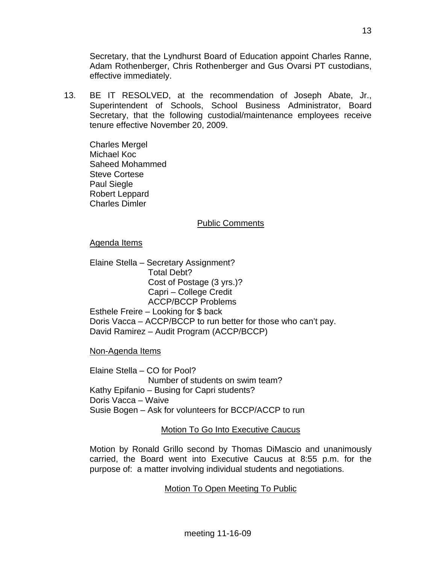Secretary, that the Lyndhurst Board of Education appoint Charles Ranne, Adam Rothenberger, Chris Rothenberger and Gus Ovarsi PT custodians, effective immediately.

13. BE IT RESOLVED, at the recommendation of Joseph Abate, Jr., Superintendent of Schools, School Business Administrator, Board Secretary, that the following custodial/maintenance employees receive tenure effective November 20, 2009.

 Charles Mergel Michael Koc Saheed Mohammed Steve Cortese Paul Siegle Robert Leppard Charles Dimler

### Public Comments

### Agenda Items

Elaine Stella – Secretary Assignment? Total Debt? Cost of Postage (3 yrs.)? Capri – College Credit ACCP/BCCP Problems Esthele Freire – Looking for \$ back Doris Vacca – ACCP/BCCP to run better for those who can't pay. David Ramirez – Audit Program (ACCP/BCCP)

Non-Agenda Items

Elaine Stella – CO for Pool? Number of students on swim team? Kathy Epifanio – Busing for Capri students? Doris Vacca – Waive Susie Bogen – Ask for volunteers for BCCP/ACCP to run

## Motion To Go Into Executive Caucus

Motion by Ronald Grillo second by Thomas DiMascio and unanimously carried, the Board went into Executive Caucus at 8:55 p.m. for the purpose of: a matter involving individual students and negotiations.

## Motion To Open Meeting To Public